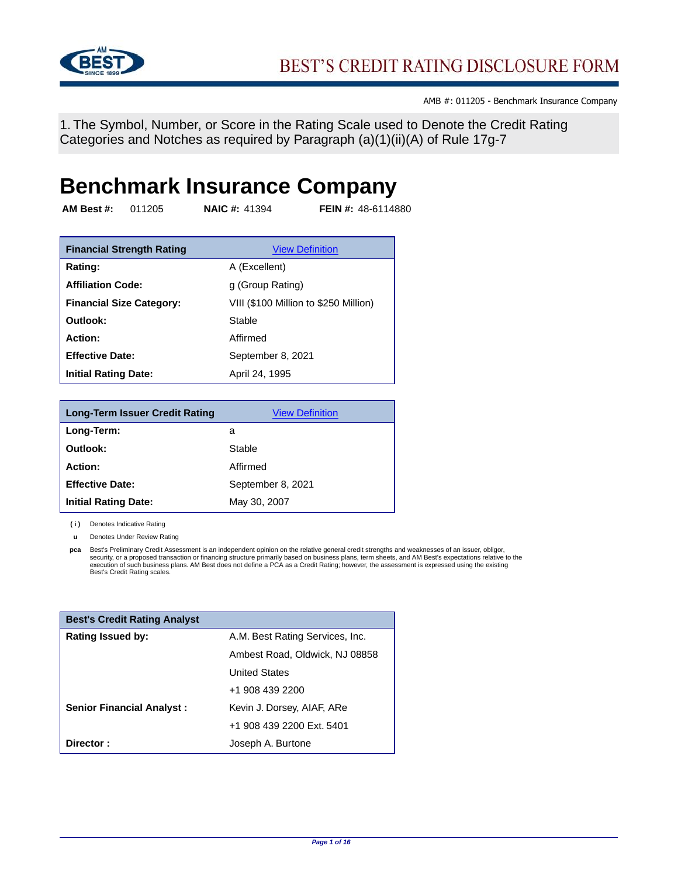

1. The Symbol, Number, or Score in the Rating Scale used to Denote the Credit Rating Categories and Notches as required by Paragraph (a)(1)(ii)(A) of Rule 17g-7

# **Benchmark Insurance Company**

**AM Best #:** 011205 **NAIC #:** 41394 **FEIN #:** 48-6114880

| <b>Financial Strength Rating</b> | <b>View Definition</b>                |
|----------------------------------|---------------------------------------|
| Rating:                          | A (Excellent)                         |
| <b>Affiliation Code:</b>         | g (Group Rating)                      |
| <b>Financial Size Category:</b>  | VIII (\$100 Million to \$250 Million) |
| Outlook:                         | Stable                                |
| Action:                          | Affirmed                              |
| <b>Effective Date:</b>           | September 8, 2021                     |
| <b>Initial Rating Date:</b>      | April 24, 1995                        |

| <b>Long-Term Issuer Credit Rating</b> | <b>View Definition</b> |
|---------------------------------------|------------------------|
| Long-Term:                            | a                      |
| Outlook:                              | Stable                 |
| Action:                               | Affirmed               |
| <b>Effective Date:</b>                | September 8, 2021      |
| <b>Initial Rating Date:</b>           | May 30, 2007           |

**( i )** Denotes Indicative Rating

**u** Denotes Under Review Rating

**pca** Best's Preliminary Credit Assessment is an independent opinion on the relative general credit strengths and weaknesses of an issuer, obligor, security, or a proposed transaction or financing structure primarily based on business plans, term sheets, and AM Best's expectations relative to the<br>execution of such business plans. AM Best does not define a PCA as a Cre Best's Credit Rating scales.

| <b>Best's Credit Rating Analyst</b> |                                 |
|-------------------------------------|---------------------------------|
| <b>Rating Issued by:</b>            | A.M. Best Rating Services, Inc. |
|                                     | Ambest Road, Oldwick, NJ 08858  |
|                                     | <b>United States</b>            |
|                                     | +1 908 439 2200                 |
| <b>Senior Financial Analyst:</b>    | Kevin J. Dorsey, AIAF, ARe      |
|                                     | +1 908 439 2200 Ext. 5401       |
| Director:                           | Joseph A. Burtone               |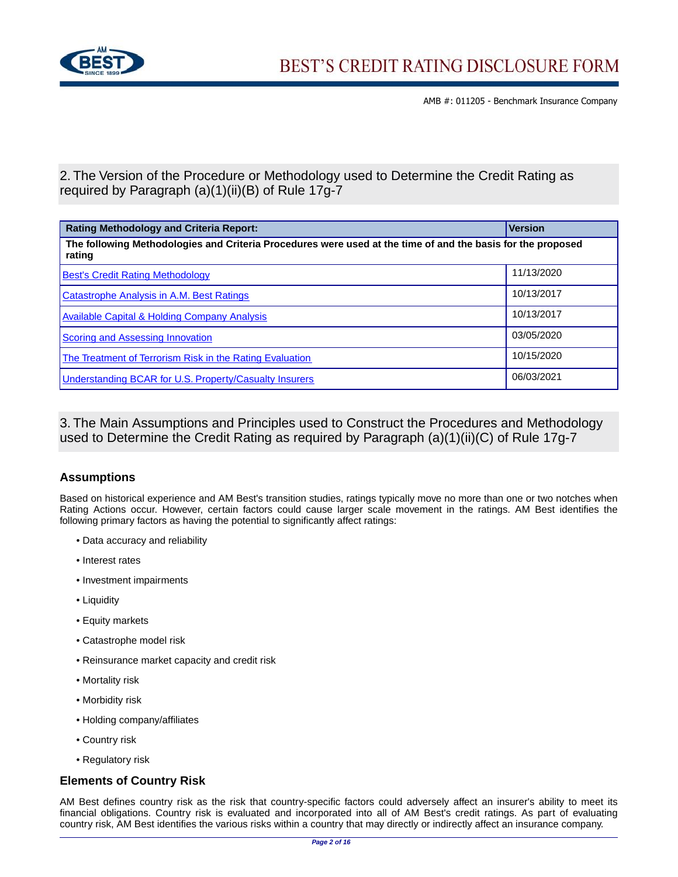

2. The Version of the Procedure or Methodology used to Determine the Credit Rating as required by Paragraph (a)(1)(ii)(B) of Rule 17g-7

| <b>Rating Methodology and Criteria Report:</b>                                                                        | <b>Version</b> |  |
|-----------------------------------------------------------------------------------------------------------------------|----------------|--|
| The following Methodologies and Criteria Procedures were used at the time of and the basis for the proposed<br>rating |                |  |
| <b>Best's Credit Rating Methodology</b>                                                                               | 11/13/2020     |  |
| <b>Catastrophe Analysis in A.M. Best Ratings</b>                                                                      | 10/13/2017     |  |
| <b>Available Capital &amp; Holding Company Analysis</b>                                                               | 10/13/2017     |  |
| <b>Scoring and Assessing Innovation</b>                                                                               | 03/05/2020     |  |
| The Treatment of Terrorism Risk in the Rating Evaluation                                                              | 10/15/2020     |  |
| Understanding BCAR for U.S. Property/Casualty Insurers                                                                | 06/03/2021     |  |

3. The Main Assumptions and Principles used to Construct the Procedures and Methodology used to Determine the Credit Rating as required by Paragraph (a)(1)(ii)(C) of Rule 17g-7

# **Assumptions**

Based on historical experience and AM Best's transition studies, ratings typically move no more than one or two notches when Rating Actions occur. However, certain factors could cause larger scale movement in the ratings. AM Best identifies the following primary factors as having the potential to significantly affect ratings:

- Data accuracy and reliability
- Interest rates
- Investment impairments
- Liquidity
- Equity markets
- Catastrophe model risk
- Reinsurance market capacity and credit risk
- Mortality risk
- Morbidity risk
- Holding company/affiliates
- Country risk
- Regulatory risk

## **Elements of Country Risk**

AM Best defines country risk as the risk that country-specific factors could adversely affect an insurer's ability to meet its financial obligations. Country risk is evaluated and incorporated into all of AM Best's credit ratings. As part of evaluating country risk, AM Best identifies the various risks within a country that may directly or indirectly affect an insurance company.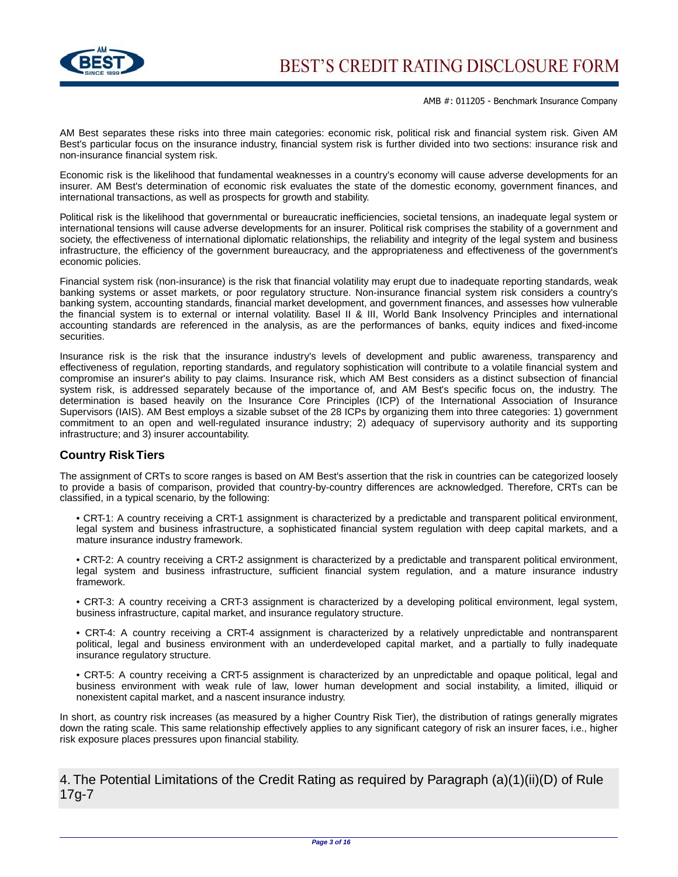

AM Best separates these risks into three main categories: economic risk, political risk and financial system risk. Given AM Best's particular focus on the insurance industry, financial system risk is further divided into two sections: insurance risk and non-insurance financial system risk.

Economic risk is the likelihood that fundamental weaknesses in a country's economy will cause adverse developments for an insurer. AM Best's determination of economic risk evaluates the state of the domestic economy, government finances, and international transactions, as well as prospects for growth and stability.

Political risk is the likelihood that governmental or bureaucratic inefficiencies, societal tensions, an inadequate legal system or international tensions will cause adverse developments for an insurer. Political risk comprises the stability of a government and society, the effectiveness of international diplomatic relationships, the reliability and integrity of the legal system and business infrastructure, the efficiency of the government bureaucracy, and the appropriateness and effectiveness of the government's economic policies.

Financial system risk (non-insurance) is the risk that financial volatility may erupt due to inadequate reporting standards, weak banking systems or asset markets, or poor regulatory structure. Non-insurance financial system risk considers a country's banking system, accounting standards, financial market development, and government finances, and assesses how vulnerable the financial system is to external or internal volatility. Basel II & III, World Bank Insolvency Principles and international accounting standards are referenced in the analysis, as are the performances of banks, equity indices and fixed-income securities.

Insurance risk is the risk that the insurance industry's levels of development and public awareness, transparency and effectiveness of regulation, reporting standards, and regulatory sophistication will contribute to a volatile financial system and compromise an insurer's ability to pay claims. Insurance risk, which AM Best considers as a distinct subsection of financial system risk, is addressed separately because of the importance of, and AM Best's specific focus on, the industry. The determination is based heavily on the Insurance Core Principles (ICP) of the International Association of Insurance Supervisors (IAIS). AM Best employs a sizable subset of the 28 ICPs by organizing them into three categories: 1) government commitment to an open and well-regulated insurance industry; 2) adequacy of supervisory authority and its supporting infrastructure; and 3) insurer accountability.

## **Country Risk Tiers**

The assignment of CRTs to score ranges is based on AM Best's assertion that the risk in countries can be categorized loosely to provide a basis of comparison, provided that country-by-country differences are acknowledged. Therefore, CRTs can be classified, in a typical scenario, by the following:

• CRT-1: A country receiving a CRT-1 assignment is characterized by a predictable and transparent political environment, legal system and business infrastructure, a sophisticated financial system regulation with deep capital markets, and a mature insurance industry framework.

• CRT-2: A country receiving a CRT-2 assignment is characterized by a predictable and transparent political environment, legal system and business infrastructure, sufficient financial system regulation, and a mature insurance industry framework.

• CRT-3: A country receiving a CRT-3 assignment is characterized by a developing political environment, legal system, business infrastructure, capital market, and insurance regulatory structure.

• CRT-4: A country receiving a CRT-4 assignment is characterized by a relatively unpredictable and nontransparent political, legal and business environment with an underdeveloped capital market, and a partially to fully inadequate insurance regulatory structure.

• CRT-5: A country receiving a CRT-5 assignment is characterized by an unpredictable and opaque political, legal and business environment with weak rule of law, lower human development and social instability, a limited, illiquid or nonexistent capital market, and a nascent insurance industry.

In short, as country risk increases (as measured by a higher Country Risk Tier), the distribution of ratings generally migrates down the rating scale. This same relationship effectively applies to any significant category of risk an insurer faces, i.e., higher risk exposure places pressures upon financial stability.

4. The Potential Limitations of the Credit Rating as required by Paragraph (a)(1)(ii)(D) of Rule 17g-7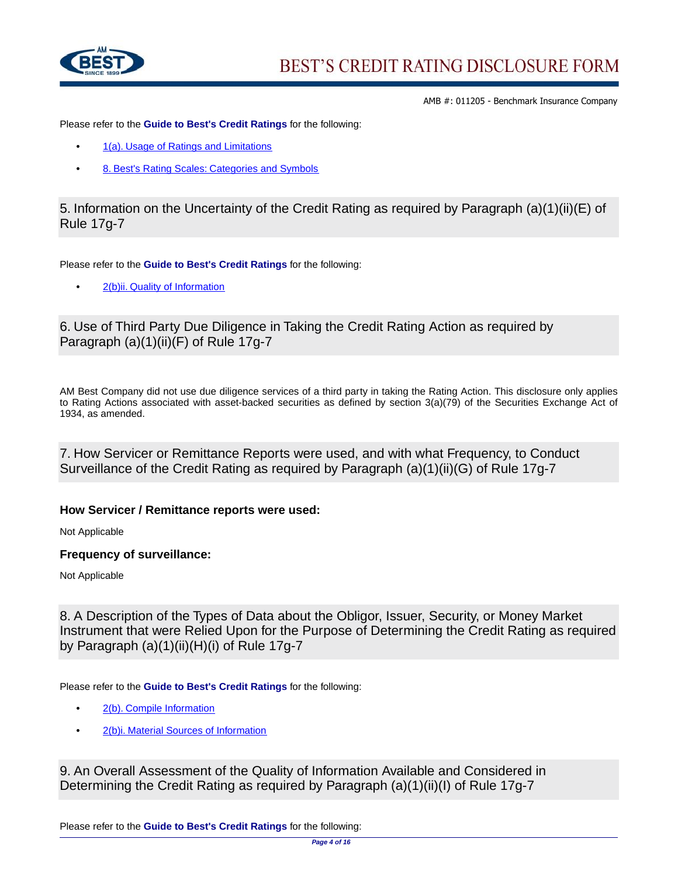

Please refer to the **Guide to Best's Credit Ratings** for the following:

- **•** [1\(a\). Usage of Ratings and Limitations](http://www3.ambest.com/ambv/ratingmethodology/openpdf.aspx?ubcr=1&ri=1368#Comments)
- **•** [8. Best's Rating Scales: Categories and Symbols](http://www3.ambest.com/ambv/ratingmethodology/openpdf.aspx?ubcr=1&ri=1368#Scales)

5. Information on the Uncertainty of the Credit Rating as required by Paragraph (a)(1)(ii)(E) of Rule 17g-7

Please refer to the **Guide to Best's Credit Ratings** for the following:

**•** [2\(b\)ii. Quality of Information](http://www3.ambest.com/ambv/ratingmethodology/openpdf.aspx?ubcr=1&ri=1368#Quality)

# 6. Use of Third Party Due Diligence in Taking the Credit Rating Action as required by Paragraph (a)(1)(ii)(F) of Rule 17g-7

AM Best Company did not use due diligence services of a third party in taking the Rating Action. This disclosure only applies to Rating Actions associated with asset-backed securities as defined by section 3(a)(79) of the Securities Exchange Act of 1934, as amended.

7. How Servicer or Remittance Reports were used, and with what Frequency, to Conduct Surveillance of the Credit Rating as required by Paragraph (a)(1)(ii)(G) of Rule 17g-7

## **How Servicer / Remittance reports were used:**

Not Applicable

## **Frequency of surveillance:**

Not Applicable

8. A Description of the Types of Data about the Obligor, Issuer, Security, or Money Market Instrument that were Relied Upon for the Purpose of Determining the Credit Rating as required by Paragraph (a)(1)(ii)(H)(i) of Rule 17g-7

Please refer to the **Guide to Best's Credit Ratings** for the following:

- **•** [2\(b\). Compile Information](http://www3.ambest.com/ambv/ratingmethodology/openpdf.aspx?ubcr=1&ri=1368#Compile)
- **•** [2\(b\)i. Material Sources of Information](http://www3.ambest.com/ambv/ratingmethodology/openpdf.aspx?ubcr=1&ri=1368#Sources)

9. An Overall Assessment of the Quality of Information Available and Considered in Determining the Credit Rating as required by Paragraph (a)(1)(ii)(I) of Rule 17g-7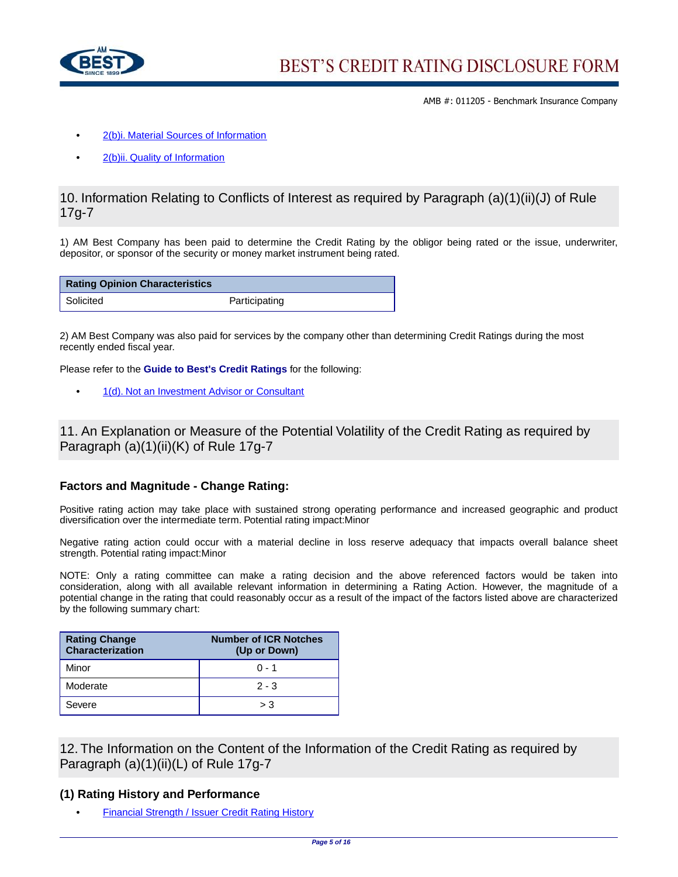

- **•** [2\(b\)i. Material Sources of Information](http://www3.ambest.com/ambv/ratingmethodology/openpdf.aspx?ubcr=1&ri=1368#Sources)
- **•** [2\(b\)ii. Quality of Information](http://www3.ambest.com/ambv/ratingmethodology/openpdf.aspx?ubcr=1&ri=1368#Quality)

## 10. Information Relating to Conflicts of Interest as required by Paragraph (a)(1)(ii)(J) of Rule 17g-7

1) AM Best Company has been paid to determine the Credit Rating by the obligor being rated or the issue, underwriter, depositor, or sponsor of the security or money market instrument being rated.

| <b>Rating Opinion Characteristics</b> |               |
|---------------------------------------|---------------|
| Solicited                             | Participating |

2) AM Best Company was also paid for services by the company other than determining Credit Ratings during the most recently ended fiscal year.

Please refer to the **Guide to Best's Credit Ratings** for the following:

**•** [1\(d\). Not an Investment Advisor or Consultant](http://www3.ambest.com/ambv/ratingmethodology/openpdf.aspx?ubcr=1&ri=1368#Investment)

11. An Explanation or Measure of the Potential Volatility of the Credit Rating as required by Paragraph (a)(1)(ii)(K) of Rule 17g-7

#### **Factors and Magnitude - Change Rating:**

Positive rating action may take place with sustained strong operating performance and increased geographic and product diversification over the intermediate term. Potential rating impact:Minor

Negative rating action could occur with a material decline in loss reserve adequacy that impacts overall balance sheet strength. Potential rating impact:Minor

NOTE: Only a rating committee can make a rating decision and the above referenced factors would be taken into consideration, along with all available relevant information in determining a Rating Action. However, the magnitude of a potential change in the rating that could reasonably occur as a result of the impact of the factors listed above are characterized by the following summary chart:

| <b>Rating Change</b><br>Characterization | <b>Number of ICR Notches</b><br>(Up or Down) |
|------------------------------------------|----------------------------------------------|
| Minor                                    | $0 - 1$                                      |
| Moderate                                 | $2 - 3$                                      |
| Severe                                   | > 3                                          |

12. The Information on the Content of the Information of the Credit Rating as required by Paragraph (a)(1)(ii)(L) of Rule 17g-7

#### **(1) Rating History and Performance**

**•** [Financial Strength / Issuer Credit Rating History](http://ratings.ambest.com/CompanyProfile.aspx?AltSrc=135&ambnum=11205#hist)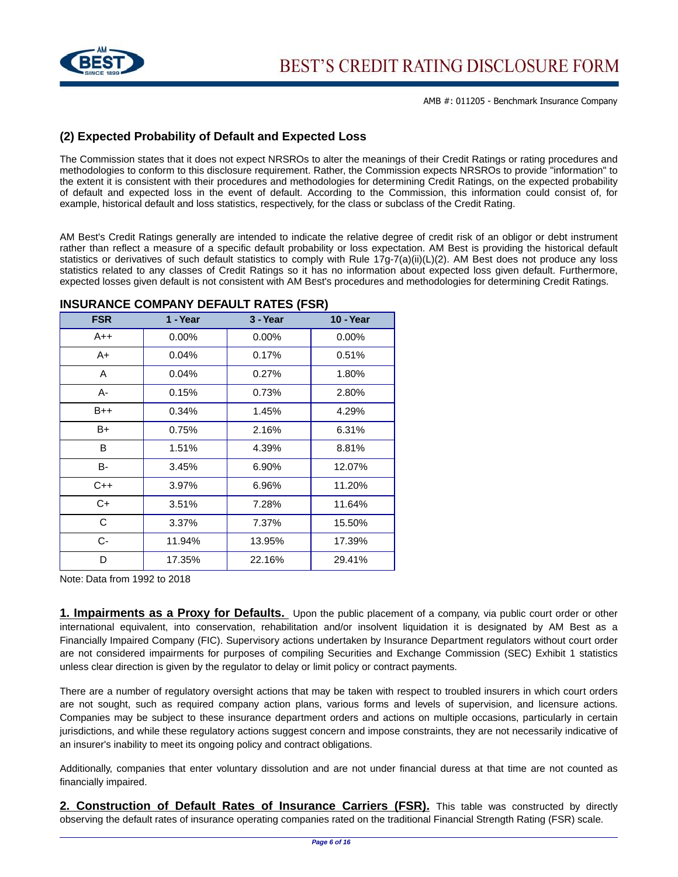

# **(2) Expected Probability of Default and Expected Loss**

The Commission states that it does not expect NRSROs to alter the meanings of their Credit Ratings or rating procedures and methodologies to conform to this disclosure requirement. Rather, the Commission expects NRSROs to provide "information" to the extent it is consistent with their procedures and methodologies for determining Credit Ratings, on the expected probability of default and expected loss in the event of default. According to the Commission, this information could consist of, for example, historical default and loss statistics, respectively, for the class or subclass of the Credit Rating.

AM Best's Credit Ratings generally are intended to indicate the relative degree of credit risk of an obligor or debt instrument rather than reflect a measure of a specific default probability or loss expectation. AM Best is providing the historical default statistics or derivatives of such default statistics to comply with Rule 17g-7(a)(ii)(L)(2). AM Best does not produce any loss statistics related to any classes of Credit Ratings so it has no information about expected loss given default. Furthermore, expected losses given default is not consistent with AM Best's procedures and methodologies for determining Credit Ratings.

| <b>FSR</b> | 1 - Year | 3 - Year | <b>10 - Year</b> |
|------------|----------|----------|------------------|
| $A++$      | $0.00\%$ | $0.00\%$ | $0.00\%$         |
| A+         | 0.04%    | 0.17%    | 0.51%            |
| A          | 0.04%    | 0.27%    | 1.80%            |
| А-         | 0.15%    | 0.73%    | 2.80%            |
| $B++$      | 0.34%    | 1.45%    | 4.29%            |
| B+         | 0.75%    | 2.16%    | 6.31%            |
| B          | 1.51%    | 4.39%    | 8.81%            |
| B-         | 3.45%    | 6.90%    | 12.07%           |
| $C++$      | 3.97%    | 6.96%    | 11.20%           |
| $C+$       | 3.51%    | 7.28%    | 11.64%           |
| C          | 3.37%    | 7.37%    | 15.50%           |
| C-         | 11.94%   | 13.95%   | 17.39%           |
| D          | 17.35%   | 22.16%   | 29.41%           |

#### **INSURANCE COMPANY DEFAULT RATES (FSR)**

Note: Data from 1992 to 2018

**1. Impairments as a Proxy for Defaults.** Upon the public placement of a company, via public court order or other international equivalent, into conservation, rehabilitation and/or insolvent liquidation it is designated by AM Best as a Financially Impaired Company (FIC). Supervisory actions undertaken by Insurance Department regulators without court order are not considered impairments for purposes of compiling Securities and Exchange Commission (SEC) Exhibit 1 statistics unless clear direction is given by the regulator to delay or limit policy or contract payments.

There are a number of regulatory oversight actions that may be taken with respect to troubled insurers in which court orders are not sought, such as required company action plans, various forms and levels of supervision, and licensure actions. Companies may be subject to these insurance department orders and actions on multiple occasions, particularly in certain jurisdictions, and while these regulatory actions suggest concern and impose constraints, they are not necessarily indicative of an insurer's inability to meet its ongoing policy and contract obligations.

Additionally, companies that enter voluntary dissolution and are not under financial duress at that time are not counted as financially impaired.

**2. Construction of Default Rates of Insurance Carriers (FSR).** This table was constructed by directly observing the default rates of insurance operating companies rated on the traditional Financial Strength Rating (FSR) scale.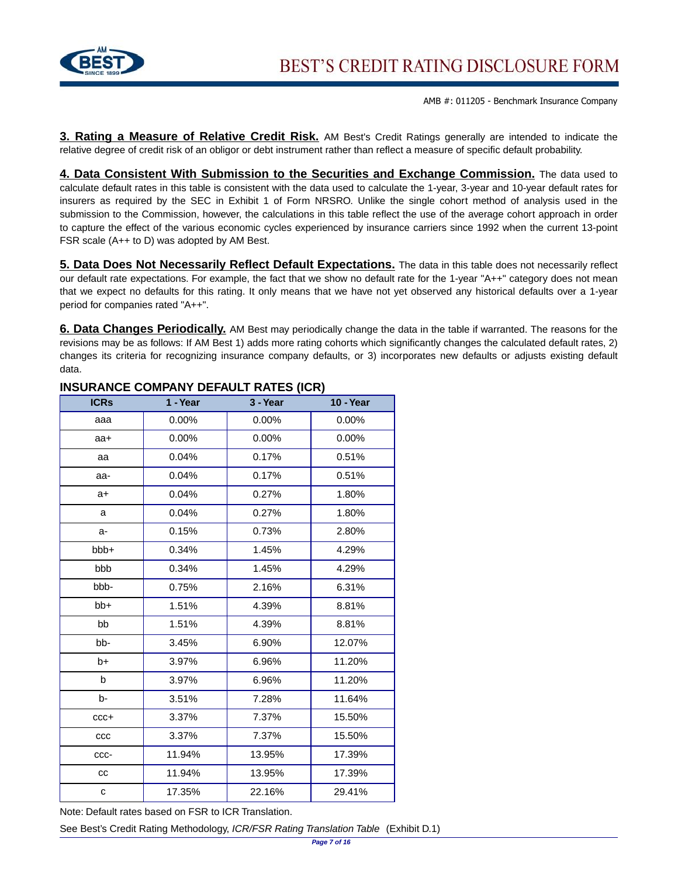

**3. Rating a Measure of Relative Credit Risk.** AM Best's Credit Ratings generally are intended to indicate the relative degree of credit risk of an obligor or debt instrument rather than reflect a measure of specific default probability.

**4. Data Consistent With Submission to the Securities and Exchange Commission.** The data used to calculate default rates in this table is consistent with the data used to calculate the 1-year, 3-year and 10-year default rates for insurers as required by the SEC in Exhibit 1 of Form NRSRO. Unlike the single cohort method of analysis used in the submission to the Commission, however, the calculations in this table reflect the use of the average cohort approach in order to capture the effect of the various economic cycles experienced by insurance carriers since 1992 when the current 13-point FSR scale (A++ to D) was adopted by AM Best.

**5. Data Does Not Necessarily Reflect Default Expectations.** The data in this table does not necessarily reflect our default rate expectations. For example, the fact that we show no default rate for the 1-year "A++" category does not mean that we expect no defaults for this rating. It only means that we have not yet observed any historical defaults over a 1-year period for companies rated "A++".

**6. Data Changes Periodically.** AM Best may periodically change the data in the table if warranted. The reasons for the revisions may be as follows: If AM Best 1) adds more rating cohorts which significantly changes the calculated default rates, 2) changes its criteria for recognizing insurance company defaults, or 3) incorporates new defaults or adjusts existing default data.

| <b>ICRs</b> | 1 - Year | 3 - Year | <b>10 - Year</b> |
|-------------|----------|----------|------------------|
| aaa         | $0.00\%$ | $0.00\%$ | 0.00%            |
| $aa+$       | 0.00%    | 0.00%    | 0.00%            |
| aa          | 0.04%    | 0.17%    | 0.51%            |
| aa-         | 0.04%    | 0.17%    | 0.51%            |
| $a+$        | 0.04%    | 0.27%    | 1.80%            |
| a           | 0.04%    | 0.27%    | 1.80%            |
| a-          | 0.15%    | 0.73%    | 2.80%            |
| bbb+        | 0.34%    | 1.45%    | 4.29%            |
| bbb         | 0.34%    | 1.45%    | 4.29%            |
| bbb-        | 0.75%    | 2.16%    | 6.31%            |
| $bb+$       | 1.51%    | 4.39%    | 8.81%            |
| bb          | 1.51%    | 4.39%    | 8.81%            |
| bb-         | 3.45%    | 6.90%    | 12.07%           |
| b+          | 3.97%    | 6.96%    | 11.20%           |
| b           | 3.97%    | 6.96%    | 11.20%           |
| b-          | 3.51%    | 7.28%    | 11.64%           |
| $ccc+$      | 3.37%    | 7.37%    | 15.50%           |
| ccc         | 3.37%    | 7.37%    | 15.50%           |
| CCC-        | 11.94%   | 13.95%   | 17.39%           |
| cc          | 11.94%   | 13.95%   | 17.39%           |
| C           | 17.35%   | 22.16%   | 29.41%           |

## **INSURANCE COMPANY DEFAULT RATES (ICR)**

Note: Default rates based on FSR to ICR Translation.

See Best's Credit Rating Methodology, ICR/FSR Rating Translation Table (Exhibit D.1)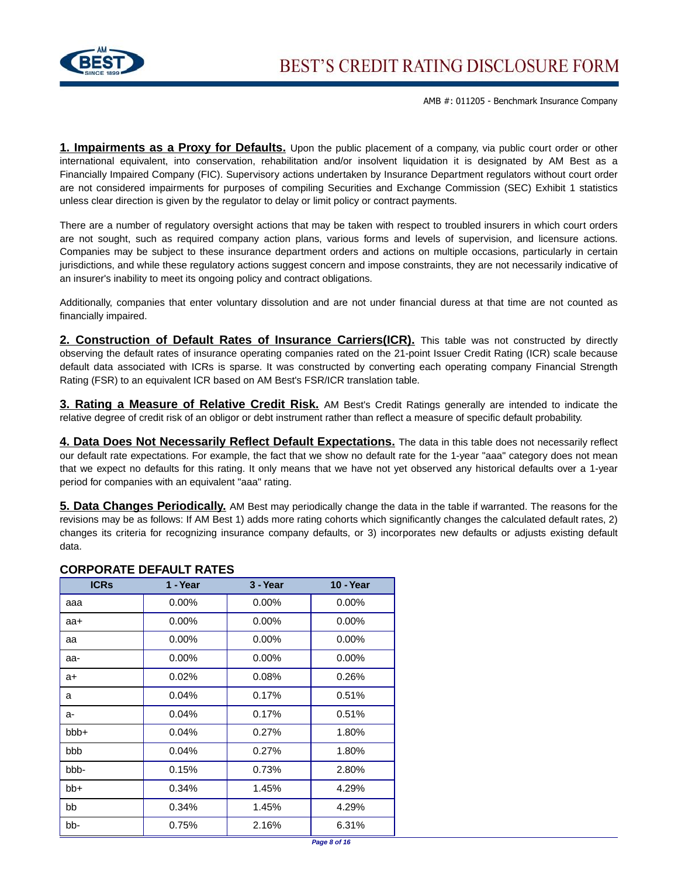

**1. Impairments as a Proxy for Defaults.** Upon the public placement of a company, via public court order or other international equivalent, into conservation, rehabilitation and/or insolvent liquidation it is designated by AM Best as a Financially Impaired Company (FIC). Supervisory actions undertaken by Insurance Department regulators without court order are not considered impairments for purposes of compiling Securities and Exchange Commission (SEC) Exhibit 1 statistics unless clear direction is given by the regulator to delay or limit policy or contract payments.

There are a number of regulatory oversight actions that may be taken with respect to troubled insurers in which court orders are not sought, such as required company action plans, various forms and levels of supervision, and licensure actions. Companies may be subject to these insurance department orders and actions on multiple occasions, particularly in certain jurisdictions, and while these regulatory actions suggest concern and impose constraints, they are not necessarily indicative of an insurer's inability to meet its ongoing policy and contract obligations.

Additionally, companies that enter voluntary dissolution and are not under financial duress at that time are not counted as financially impaired.

**2. Construction of Default Rates of Insurance Carriers(ICR).** This table was not constructed by directly observing the default rates of insurance operating companies rated on the 21-point Issuer Credit Rating (ICR) scale because default data associated with ICRs is sparse. It was constructed by converting each operating company Financial Strength Rating (FSR) to an equivalent ICR based on AM Best's FSR/ICR translation table.

**3. Rating a Measure of Relative Credit Risk.** AM Best's Credit Ratings generally are intended to indicate the relative degree of credit risk of an obligor or debt instrument rather than reflect a measure of specific default probability.

**4. Data Does Not Necessarily Reflect Default Expectations.** The data in this table does not necessarily reflect our default rate expectations. For example, the fact that we show no default rate for the 1-year "aaa" category does not mean that we expect no defaults for this rating. It only means that we have not yet observed any historical defaults over a 1-year period for companies with an equivalent "aaa" rating.

**5. Data Changes Periodically.** AM Best may periodically change the data in the table if warranted. The reasons for the revisions may be as follows: If AM Best 1) adds more rating cohorts which significantly changes the calculated default rates, 2) changes its criteria for recognizing insurance company defaults, or 3) incorporates new defaults or adjusts existing default data.

| <b>ICRS</b> | 1 - Year | 3 - Year | <b>10 - Year</b> |
|-------------|----------|----------|------------------|
| aaa         | $0.00\%$ | $0.00\%$ | $0.00\%$         |
| aa+         | $0.00\%$ | $0.00\%$ | $0.00\%$         |
| aa          | $0.00\%$ | $0.00\%$ | $0.00\%$         |
| aa-         | $0.00\%$ | $0.00\%$ | $0.00\%$         |
| a+          | 0.02%    | 0.08%    | 0.26%            |
| a           | 0.04%    | 0.17%    | 0.51%            |
| a-          | 0.04%    | 0.17%    | 0.51%            |
| $bbb +$     | 0.04%    | 0.27%    | 1.80%            |
| bbb         | 0.04%    | 0.27%    | 1.80%            |
| bbb-        | 0.15%    | 0.73%    | 2.80%            |
| bb+         | 0.34%    | 1.45%    | 4.29%            |
| bb          | 0.34%    | 1.45%    | 4.29%            |
| bb-         | 0.75%    | 2.16%    | 6.31%            |

## **CORPORATE DEFAULT RATES**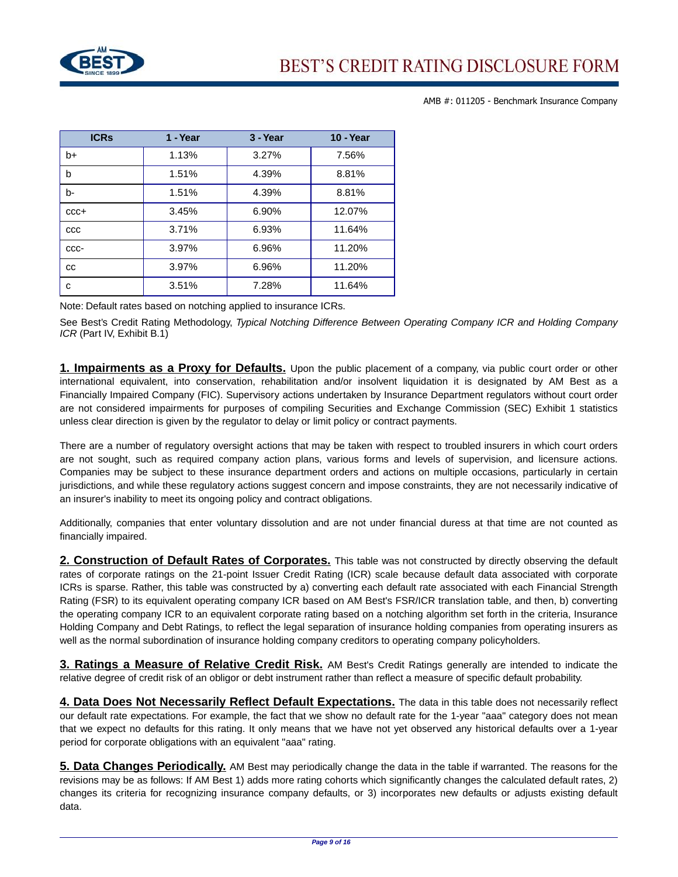

| <b>ICRS</b> | 1 - Year | 3 - Year | <b>10 - Year</b> |
|-------------|----------|----------|------------------|
| $b+$        | 1.13%    | 3.27%    | 7.56%            |
| b           | 1.51%    | 4.39%    | 8.81%            |
| b-          | 1.51%    | 4.39%    | 8.81%            |
| $CCC +$     | 3.45%    | 6.90%    | 12.07%           |
| CCC         | 3.71%    | 6.93%    | 11.64%           |
| CCC-        | 3.97%    | 6.96%    | 11.20%           |
| CC          | 3.97%    | 6.96%    | 11.20%           |
| с           | 3.51%    | 7.28%    | 11.64%           |

Note: Default rates based on notching applied to insurance ICRs.

See Best's Credit Rating Methodology, Typical Notching Difference Between Operating Company ICR and Holding Company ICR (Part IV, Exhibit B.1)

**1. Impairments as a Proxy for Defaults.** Upon the public placement of a company, via public court order or other international equivalent, into conservation, rehabilitation and/or insolvent liquidation it is designated by AM Best as a Financially Impaired Company (FIC). Supervisory actions undertaken by Insurance Department regulators without court order are not considered impairments for purposes of compiling Securities and Exchange Commission (SEC) Exhibit 1 statistics unless clear direction is given by the regulator to delay or limit policy or contract payments.

There are a number of regulatory oversight actions that may be taken with respect to troubled insurers in which court orders are not sought, such as required company action plans, various forms and levels of supervision, and licensure actions. Companies may be subject to these insurance department orders and actions on multiple occasions, particularly in certain jurisdictions, and while these regulatory actions suggest concern and impose constraints, they are not necessarily indicative of an insurer's inability to meet its ongoing policy and contract obligations.

Additionally, companies that enter voluntary dissolution and are not under financial duress at that time are not counted as financially impaired.

**2. Construction of Default Rates of Corporates.** This table was not constructed by directly observing the default rates of corporate ratings on the 21-point Issuer Credit Rating (ICR) scale because default data associated with corporate ICRs is sparse. Rather, this table was constructed by a) converting each default rate associated with each Financial Strength Rating (FSR) to its equivalent operating company ICR based on AM Best's FSR/ICR translation table, and then, b) converting the operating company ICR to an equivalent corporate rating based on a notching algorithm set forth in the criteria, Insurance Holding Company and Debt Ratings, to reflect the legal separation of insurance holding companies from operating insurers as well as the normal subordination of insurance holding company creditors to operating company policyholders.

**3. Ratings a Measure of Relative Credit Risk.** AM Best's Credit Ratings generally are intended to indicate the relative degree of credit risk of an obligor or debt instrument rather than reflect a measure of specific default probability.

**4. Data Does Not Necessarily Reflect Default Expectations.** The data in this table does not necessarily reflect our default rate expectations. For example, the fact that we show no default rate for the 1-year "aaa" category does not mean that we expect no defaults for this rating. It only means that we have not yet observed any historical defaults over a 1-year period for corporate obligations with an equivalent "aaa" rating.

**5. Data Changes Periodically.** AM Best may periodically change the data in the table if warranted. The reasons for the revisions may be as follows: If AM Best 1) adds more rating cohorts which significantly changes the calculated default rates, 2) changes its criteria for recognizing insurance company defaults, or 3) incorporates new defaults or adjusts existing default data.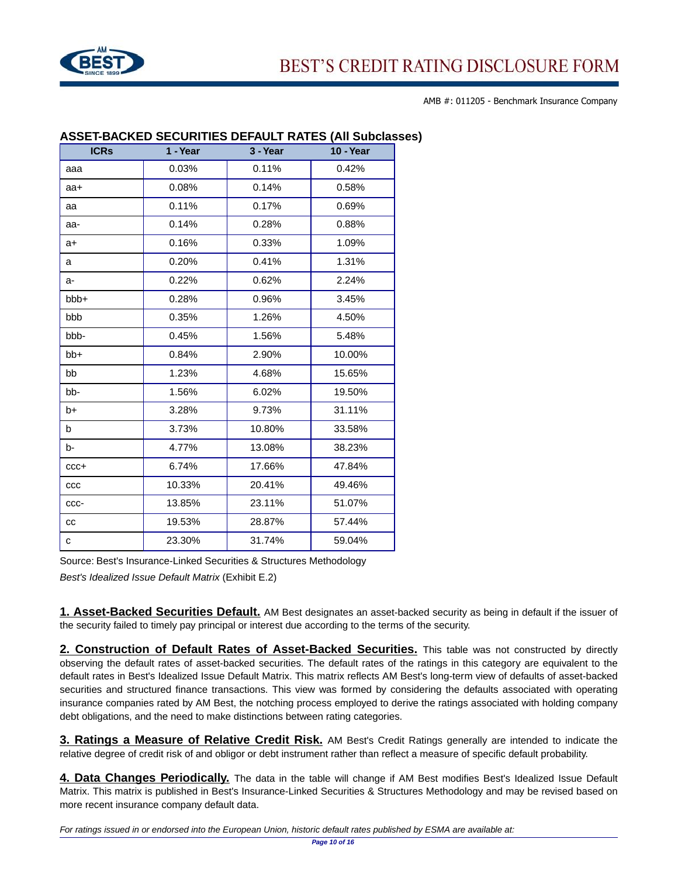

| <b>ICRs</b> | 1 - Year | 3 - Year | <b>10 - Year</b> |
|-------------|----------|----------|------------------|
| aaa         | 0.03%    | 0.11%    | 0.42%            |
| aa+         | 0.08%    | 0.14%    | 0.58%            |
| aa          | 0.11%    | 0.17%    | 0.69%            |
| aa-         | 0.14%    | 0.28%    | 0.88%            |
| a+          | 0.16%    | 0.33%    | 1.09%            |
| a           | 0.20%    | 0.41%    | 1.31%            |
| a-          | 0.22%    | 0.62%    | 2.24%            |
| bbb+        | 0.28%    | 0.96%    | 3.45%            |
| bbb         | 0.35%    | 1.26%    | 4.50%            |
| bbb-        | 0.45%    | 1.56%    | 5.48%            |
| bb+         | 0.84%    | 2.90%    | 10.00%           |
| bb          | 1.23%    | 4.68%    | 15.65%           |
| bb-         | 1.56%    | 6.02%    | 19.50%           |
| $b+$        | 3.28%    | 9.73%    | 31.11%           |
| b           | 3.73%    | 10.80%   | 33.58%           |
| b-          | 4.77%    | 13.08%   | 38.23%           |
| $CCC +$     | 6.74%    | 17.66%   | 47.84%           |
| ccc         | 10.33%   | 20.41%   | 49.46%           |
| CCC-        | 13.85%   | 23.11%   | 51.07%           |
| cc          | 19.53%   | 28.87%   | 57.44%           |
| c           | 23.30%   | 31.74%   | 59.04%           |

#### **ASSET-BACKED SECURITIES DEFAULT RATES (All Subclasses)**

Source: Best's Insurance-Linked Securities & Structures Methodology

Best's Idealized Issue Default Matrix (Exhibit E.2)

**1. Asset-Backed Securities Default.** AM Best designates an asset-backed security as being in default if the issuer of the security failed to timely pay principal or interest due according to the terms of the security.

**2. Construction of Default Rates of Asset-Backed Securities.** This table was not constructed by directly observing the default rates of asset-backed securities. The default rates of the ratings in this category are equivalent to the default rates in Best's Idealized Issue Default Matrix. This matrix reflects AM Best's long-term view of defaults of asset-backed securities and structured finance transactions. This view was formed by considering the defaults associated with operating insurance companies rated by AM Best, the notching process employed to derive the ratings associated with holding company debt obligations, and the need to make distinctions between rating categories.

**3. Ratings a Measure of Relative Credit Risk.** AM Best's Credit Ratings generally are intended to indicate the relative degree of credit risk of and obligor or debt instrument rather than reflect a measure of specific default probability.

**4. Data Changes Periodically.** The data in the table will change if AM Best modifies Best's Idealized Issue Default Matrix. This matrix is published in Best's Insurance-Linked Securities & Structures Methodology and may be revised based on more recent insurance company default data.

For ratings issued in or endorsed into the European Union, historic default rates published by ESMA are available at: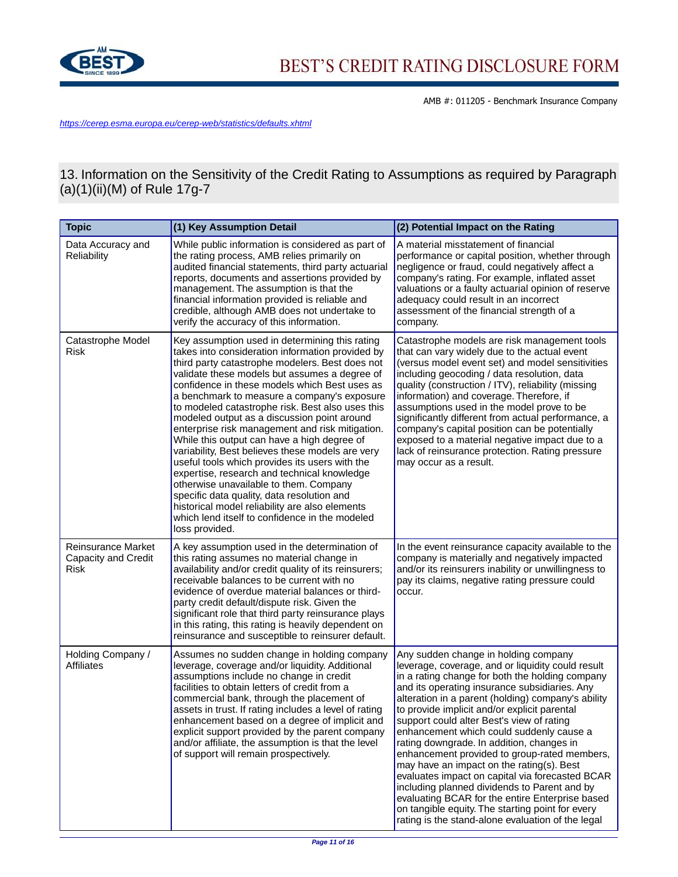

<https://cerep.esma.europa.eu/cerep-web/statistics/defaults.xhtml>

13. Information on the Sensitivity of the Credit Rating to Assumptions as required by Paragraph (a)(1)(ii)(M) of Rule 17g-7

| <b>Topic</b>                                             | (1) Key Assumption Detail                                                                                                                                                                                                                                                                                                                                                                                                                                                                                                                                                                                                                                                                                                                                                                                                                                                      | (2) Potential Impact on the Rating                                                                                                                                                                                                                                                                                                                                                                                                                                                                                                                                                                                                                                                                                                                                                                    |
|----------------------------------------------------------|--------------------------------------------------------------------------------------------------------------------------------------------------------------------------------------------------------------------------------------------------------------------------------------------------------------------------------------------------------------------------------------------------------------------------------------------------------------------------------------------------------------------------------------------------------------------------------------------------------------------------------------------------------------------------------------------------------------------------------------------------------------------------------------------------------------------------------------------------------------------------------|-------------------------------------------------------------------------------------------------------------------------------------------------------------------------------------------------------------------------------------------------------------------------------------------------------------------------------------------------------------------------------------------------------------------------------------------------------------------------------------------------------------------------------------------------------------------------------------------------------------------------------------------------------------------------------------------------------------------------------------------------------------------------------------------------------|
| Data Accuracy and<br>Reliability                         | While public information is considered as part of<br>the rating process, AMB relies primarily on<br>audited financial statements, third party actuarial<br>reports, documents and assertions provided by<br>management. The assumption is that the<br>financial information provided is reliable and<br>credible, although AMB does not undertake to<br>verify the accuracy of this information.                                                                                                                                                                                                                                                                                                                                                                                                                                                                               | A material misstatement of financial<br>performance or capital position, whether through<br>negligence or fraud, could negatively affect a<br>company's rating. For example, inflated asset<br>valuations or a faulty actuarial opinion of reserve<br>adequacy could result in an incorrect<br>assessment of the financial strength of a<br>company.                                                                                                                                                                                                                                                                                                                                                                                                                                                  |
| Catastrophe Model<br>Risk                                | Key assumption used in determining this rating<br>takes into consideration information provided by<br>third party catastrophe modelers. Best does not<br>validate these models but assumes a degree of<br>confidence in these models which Best uses as<br>a benchmark to measure a company's exposure<br>to modeled catastrophe risk. Best also uses this<br>modeled output as a discussion point around<br>enterprise risk management and risk mitigation.<br>While this output can have a high degree of<br>variability, Best believes these models are very<br>useful tools which provides its users with the<br>expertise, research and technical knowledge<br>otherwise unavailable to them. Company<br>specific data quality, data resolution and<br>historical model reliability are also elements<br>which lend itself to confidence in the modeled<br>loss provided. | Catastrophe models are risk management tools<br>that can vary widely due to the actual event<br>(versus model event set) and model sensitivities<br>including geocoding / data resolution, data<br>quality (construction / ITV), reliability (missing<br>information) and coverage. Therefore, if<br>assumptions used in the model prove to be<br>significantly different from actual performance, a<br>company's capital position can be potentially<br>exposed to a material negative impact due to a<br>lack of reinsurance protection. Rating pressure<br>may occur as a result.                                                                                                                                                                                                                  |
| <b>Reinsurance Market</b><br>Capacity and Credit<br>Risk | A key assumption used in the determination of<br>this rating assumes no material change in<br>availability and/or credit quality of its reinsurers;<br>receivable balances to be current with no<br>evidence of overdue material balances or third-<br>party credit default/dispute risk. Given the<br>significant role that third party reinsurance plays<br>in this rating, this rating is heavily dependent on<br>reinsurance and susceptible to reinsurer default.                                                                                                                                                                                                                                                                                                                                                                                                         | In the event reinsurance capacity available to the<br>company is materially and negatively impacted<br>and/or its reinsurers inability or unwillingness to<br>pay its claims, negative rating pressure could<br>occur.                                                                                                                                                                                                                                                                                                                                                                                                                                                                                                                                                                                |
| Holding Company /<br><b>Affiliates</b>                   | Assumes no sudden change in holding company<br>leverage, coverage and/or liquidity. Additional<br>assumptions include no change in credit<br>facilities to obtain letters of credit from a<br>commercial bank, through the placement of<br>assets in trust. If rating includes a level of rating<br>enhancement based on a degree of implicit and<br>explicit support provided by the parent company<br>and/or affiliate, the assumption is that the level<br>of support will remain prospectively.                                                                                                                                                                                                                                                                                                                                                                            | Any sudden change in holding company<br>leverage, coverage, and or liquidity could result<br>in a rating change for both the holding company<br>and its operating insurance subsidiaries. Any<br>alteration in a parent (holding) company's ability<br>to provide implicit and/or explicit parental<br>support could alter Best's view of rating<br>enhancement which could suddenly cause a<br>rating downgrade. In addition, changes in<br>enhancement provided to group-rated members,<br>may have an impact on the rating(s). Best<br>evaluates impact on capital via forecasted BCAR<br>including planned dividends to Parent and by<br>evaluating BCAR for the entire Enterprise based<br>on tangible equity. The starting point for every<br>rating is the stand-alone evaluation of the legal |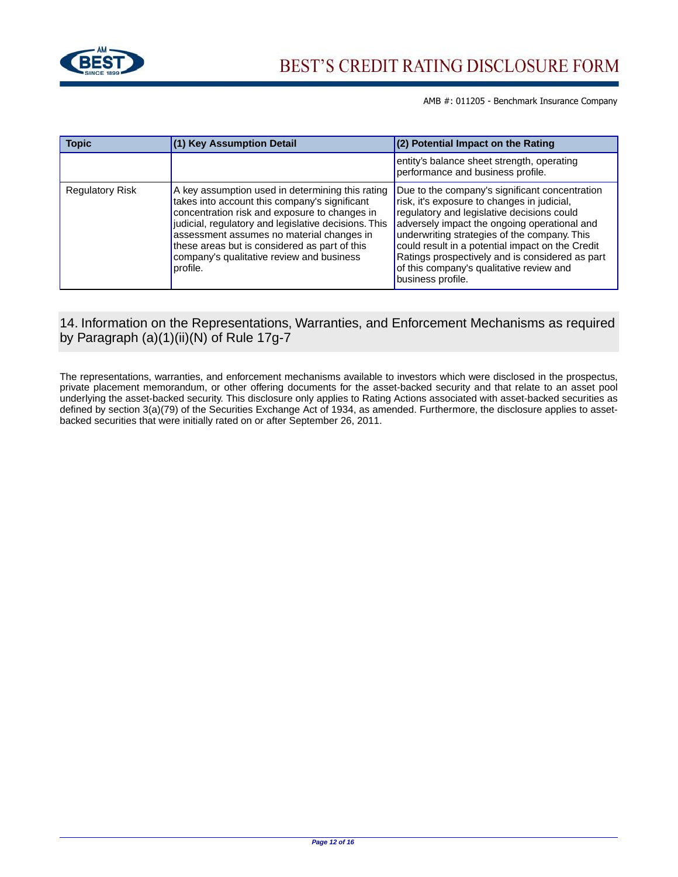

| <b>Topic</b>           | (1) Key Assumption Detail                                                                                                                                                                                                                                                                                                                                         | $(2)$ Potential Impact on the Rating                                                                                                                                                                                                                                                                                                                                                                                |
|------------------------|-------------------------------------------------------------------------------------------------------------------------------------------------------------------------------------------------------------------------------------------------------------------------------------------------------------------------------------------------------------------|---------------------------------------------------------------------------------------------------------------------------------------------------------------------------------------------------------------------------------------------------------------------------------------------------------------------------------------------------------------------------------------------------------------------|
|                        |                                                                                                                                                                                                                                                                                                                                                                   | entity's balance sheet strength, operating<br>performance and business profile.                                                                                                                                                                                                                                                                                                                                     |
| <b>Regulatory Risk</b> | A key assumption used in determining this rating<br>takes into account this company's significant<br>concentration risk and exposure to changes in<br>judicial, regulatory and legislative decisions. This<br>assessment assumes no material changes in<br>these areas but is considered as part of this<br>company's qualitative review and business<br>profile. | Due to the company's significant concentration<br>risk, it's exposure to changes in judicial,<br>regulatory and legislative decisions could<br>adversely impact the ongoing operational and<br>underwriting strategies of the company. This<br>could result in a potential impact on the Credit<br>Ratings prospectively and is considered as part<br>of this company's qualitative review and<br>business profile. |

# 14. Information on the Representations, Warranties, and Enforcement Mechanisms as required by Paragraph (a)(1)(ii)(N) of Rule 17g-7

The representations, warranties, and enforcement mechanisms available to investors which were disclosed in the prospectus, private placement memorandum, or other offering documents for the asset-backed security and that relate to an asset pool underlying the asset-backed security. This disclosure only applies to Rating Actions associated with asset-backed securities as defined by section 3(a)(79) of the Securities Exchange Act of 1934, as amended. Furthermore, the disclosure applies to assetbacked securities that were initially rated on or after September 26, 2011.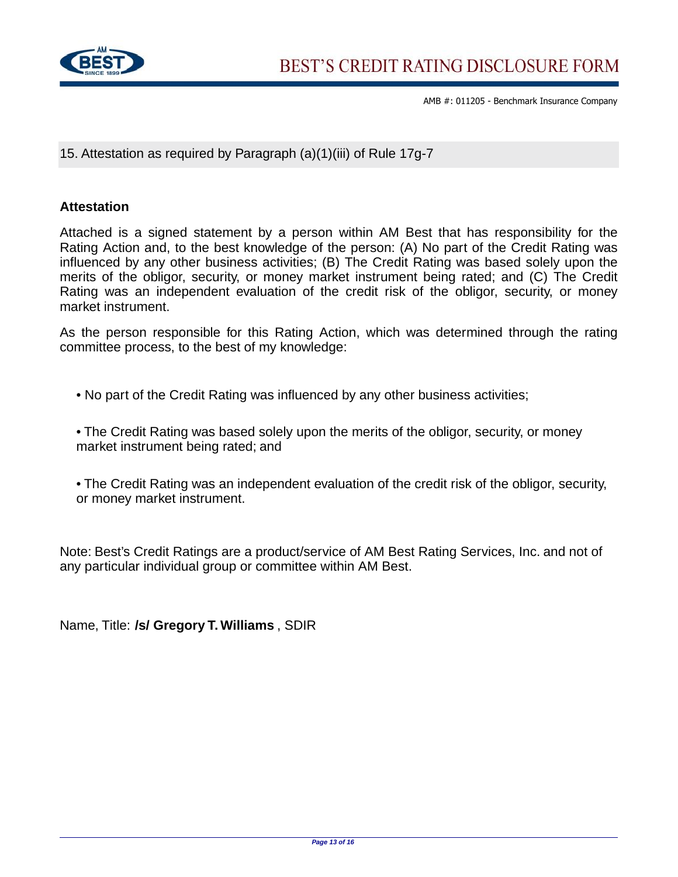

15. Attestation as required by Paragraph (a)(1)(iii) of Rule 17g-7

## **Attestation**

Attached is a signed statement by a person within AM Best that has responsibility for the Rating Action and, to the best knowledge of the person: (A) No part of the Credit Rating was influenced by any other business activities; (B) The Credit Rating was based solely upon the merits of the obligor, security, or money market instrument being rated; and (C) The Credit Rating was an independent evaluation of the credit risk of the obligor, security, or money market instrument.

As the person responsible for this Rating Action, which was determined through the rating committee process, to the best of my knowledge:

• No part of the Credit Rating was influenced by any other business activities;

• The Credit Rating was based solely upon the merits of the obligor, security, or money market instrument being rated; and

• The Credit Rating was an independent evaluation of the credit risk of the obligor, security, or money market instrument.

Note: Best's Credit Ratings are a product/service of AM Best Rating Services, Inc. and not of any particular individual group or committee within AM Best.

Name, Title: **/s/ Gregory T. Williams** , SDIR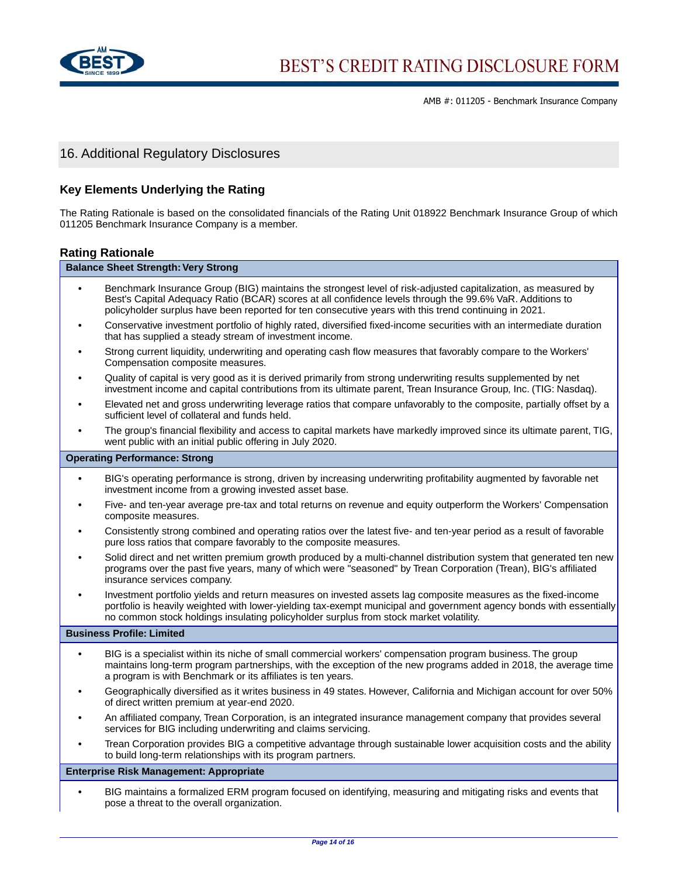

# 16. Additional Regulatory Disclosures

#### **Key Elements Underlying the Rating**

The Rating Rationale is based on the consolidated financials of the Rating Unit 018922 Benchmark Insurance Group of which 011205 Benchmark Insurance Company is a member.

#### **Rating Rationale**

## **Balance Sheet Strength: Very Strong •** Benchmark Insurance Group (BIG) maintains the strongest level of risk-adjusted capitalization, as measured by Best's Capital Adequacy Ratio (BCAR) scores at all confidence levels through the 99.6% VaR. Additions to policyholder surplus have been reported for ten consecutive years with this trend continuing in 2021. **•** Conservative investment portfolio of highly rated, diversified fixed-income securities with an intermediate duration that has supplied a steady stream of investment income. **•** Strong current liquidity, underwriting and operating cash flow measures that favorably compare to the Workers' Compensation composite measures. **•** Quality of capital is very good as it is derived primarily from strong underwriting results supplemented by net investment income and capital contributions from its ultimate parent, Trean Insurance Group, Inc. (TIG: Nasdaq). **•** Elevated net and gross underwriting leverage ratios that compare unfavorably to the composite, partially offset by a sufficient level of collateral and funds held. **•** The group's financial flexibility and access to capital markets have markedly improved since its ultimate parent, TIG, went public with an initial public offering in July 2020. **Operating Performance: Strong •** BIG's operating performance is strong, driven by increasing underwriting profitability augmented by favorable net investment income from a growing invested asset base. **•** Five- and ten-year average pre-tax and total returns on revenue and equity outperform the Workers' Compensation composite measures. **•** Consistently strong combined and operating ratios over the latest five- and ten-year period as a result of favorable pure loss ratios that compare favorably to the composite measures. **•** Solid direct and net written premium growth produced by a multi-channel distribution system that generated ten new programs over the past five years, many of which were "seasoned" by Trean Corporation (Trean), BIG's affiliated insurance services company. **•** Investment portfolio yields and return measures on invested assets lag composite measures as the fixed-income portfolio is heavily weighted with lower-yielding tax-exempt municipal and government agency bonds with essentially no common stock holdings insulating policyholder surplus from stock market volatility. **Business Profile: Limited**

- **•** BIG is a specialist within its niche of small commercial workers' compensation program business. The group maintains long-term program partnerships, with the exception of the new programs added in 2018, the average time a program is with Benchmark or its affiliates is ten years.
- **•** Geographically diversified as it writes business in 49 states. However, California and Michigan account for over 50% of direct written premium at year-end 2020.
- **•** An affiliated company, Trean Corporation, is an integrated insurance management company that provides several services for BIG including underwriting and claims servicing.
- **•** Trean Corporation provides BIG a competitive advantage through sustainable lower acquisition costs and the ability to build long-term relationships with its program partners.

#### **Enterprise Risk Management: Appropriate**

**•** BIG maintains a formalized ERM program focused on identifying, measuring and mitigating risks and events that pose a threat to the overall organization.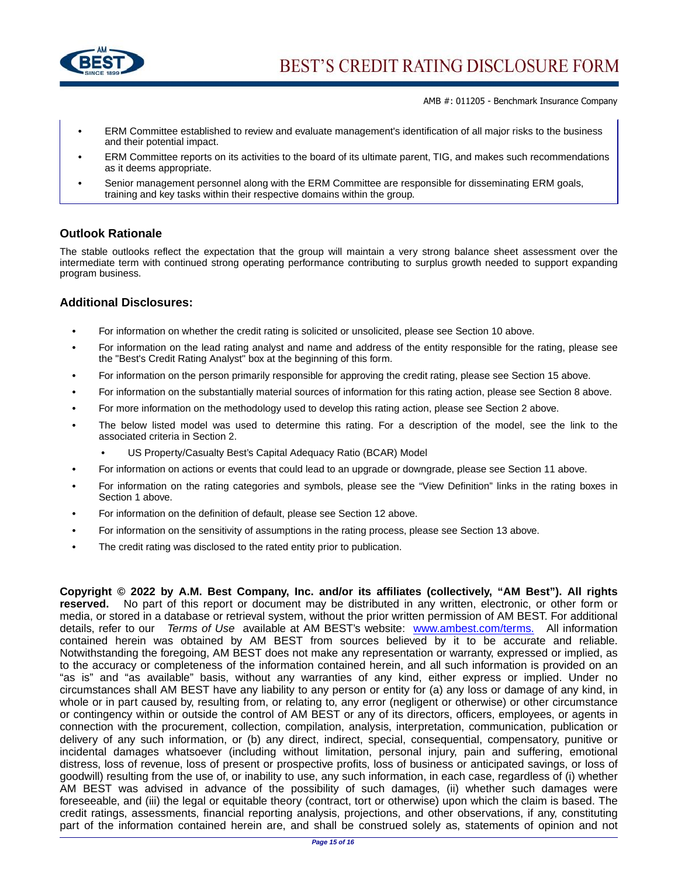

- **•** ERM Committee established to review and evaluate management's identification of all major risks to the business and their potential impact.
- **•** ERM Committee reports on its activities to the board of its ultimate parent, TIG, and makes such recommendations as it deems appropriate.
- **•** Senior management personnel along with the ERM Committee are responsible for disseminating ERM goals, training and key tasks within their respective domains within the group.

## **Outlook Rationale**

The stable outlooks reflect the expectation that the group will maintain a very strong balance sheet assessment over the intermediate term with continued strong operating performance contributing to surplus growth needed to support expanding program business.

#### **Additional Disclosures:**

- For information on whether the credit rating is solicited or unsolicited, please see Section 10 above.
- **•** For information on the lead rating analyst and name and address of the entity responsible for the rating, please see the "Best's Credit Rating Analyst" box at the beginning of this form.
- **•** For information on the person primarily responsible for approving the credit rating, please see Section 15 above.
- **•** For information on the substantially material sources of information for this rating action, please see Section 8 above.
- **•** For more information on the methodology used to develop this rating action, please see Section 2 above.
- **•** The below listed model was used to determine this rating. For a description of the model, see the link to the associated criteria in Section 2.
	- **•** US Property/Casualty Best's Capital Adequacy Ratio (BCAR) Model
- **•** For information on actions or events that could lead to an upgrade or downgrade, please see Section 11 above.
- **•** For information on the rating categories and symbols, please see the "View Definition" links in the rating boxes in Section 1 above.
- **•** For information on the definition of default, please see Section 12 above.
- **•** For information on the sensitivity of assumptions in the rating process, please see Section 13 above.
- **•** The credit rating was disclosed to the rated entity prior to publication.

**Copyright © 2022 by A.M. Best Company, Inc. and/or its affiliates (collectively, "AM Best"). All rights reserved.** No part of this report or document may be distributed in any written, electronic, or other form or media, or stored in a database or retrieval system, without the prior written permission of AM BEST. For additional details, refer to our Terms of Use available at AM BEST's website: [www.ambest.com/terms.](www.ambest.com/terms) All information contained herein was obtained by AM BEST from sources believed by it to be accurate and reliable. Notwithstanding the foregoing, AM BEST does not make any representation or warranty, expressed or implied, as to the accuracy or completeness of the information contained herein, and all such information is provided on an "as is" and "as available" basis, without any warranties of any kind, either express or implied. Under no circumstances shall AM BEST have any liability to any person or entity for (a) any loss or damage of any kind, in whole or in part caused by, resulting from, or relating to, any error (negligent or otherwise) or other circumstance or contingency within or outside the control of AM BEST or any of its directors, officers, employees, or agents in connection with the procurement, collection, compilation, analysis, interpretation, communication, publication or delivery of any such information, or (b) any direct, indirect, special, consequential, compensatory, punitive or incidental damages whatsoever (including without limitation, personal injury, pain and suffering, emotional distress, loss of revenue, loss of present or prospective profits, loss of business or anticipated savings, or loss of goodwill) resulting from the use of, or inability to use, any such information, in each case, regardless of (i) whether AM BEST was advised in advance of the possibility of such damages, (ii) whether such damages were foreseeable, and (iii) the legal or equitable theory (contract, tort or otherwise) upon which the claim is based. The credit ratings, assessments, financial reporting analysis, projections, and other observations, if any, constituting part of the information contained herein are, and shall be construed solely as, statements of opinion and not